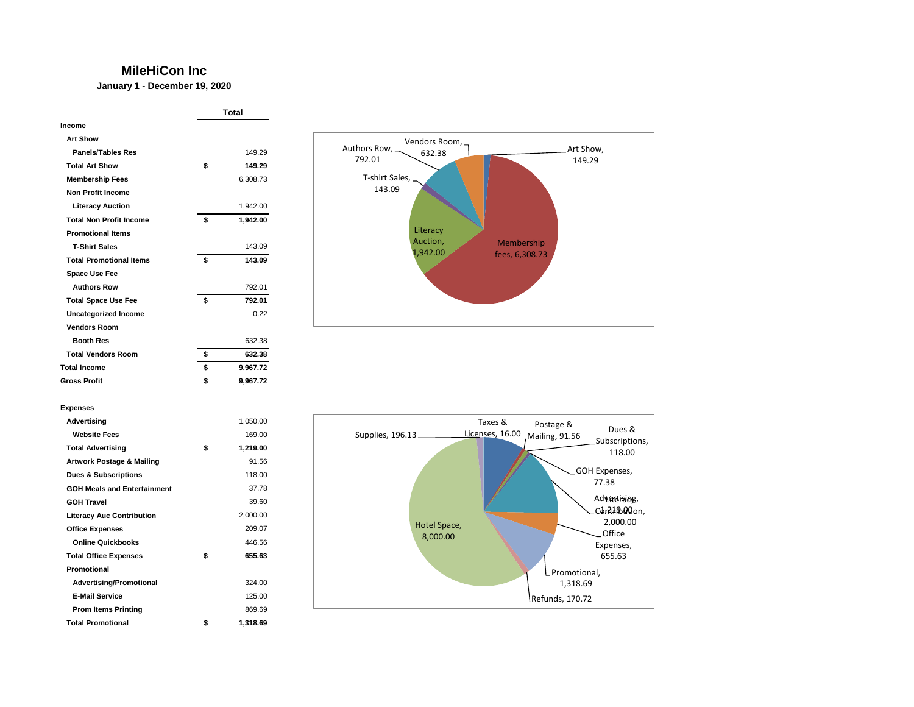## **MileHiCon Inc**

**January 1 - December 19, 2020**

|                                | Total |          |
|--------------------------------|-------|----------|
| Income                         |       |          |
| <b>Art Show</b>                |       |          |
| <b>Panels/Tables Res</b>       |       | 149.29   |
| <b>Total Art Show</b>          | \$    | 149.29   |
| <b>Membership Fees</b>         |       | 6,308.73 |
| <b>Non Profit Income</b>       |       |          |
| <b>Literacy Auction</b>        |       | 1,942.00 |
| <b>Total Non Profit Income</b> | \$    | 1,942.00 |
| <b>Promotional Items</b>       |       |          |
| <b>T-Shirt Sales</b>           |       | 143.09   |
| <b>Total Promotional Items</b> | \$    | 143.09   |
| <b>Space Use Fee</b>           |       |          |
| <b>Authors Row</b>             |       | 792.01   |
| <b>Total Space Use Fee</b>     | \$    | 792.01   |
| Uncategorized Income           |       | 0.22     |
| <b>Vendors Room</b>            |       |          |
| <b>Booth Res</b>               |       | 632.38   |
| <b>Total Vendors Room</b>      | \$    | 632.38   |
| <b>Total Income</b>            | \$    | 9,967.72 |
| <b>Gross Profit</b>            | \$    | 9,967.72 |



## **Expenses**

| Advertising                        | 1,050.00       |
|------------------------------------|----------------|
| <b>Website Fees</b>                | 169.00         |
| <b>Total Advertising</b>           | \$<br>1,219.00 |
| Artwork Postage & Mailing          | 91.56          |
| <b>Dues &amp; Subscriptions</b>    | 118.00         |
| <b>GOH Meals and Entertainment</b> | 37.78          |
| <b>GOH Travel</b>                  | 39.60          |
| <b>Literacy Auc Contribution</b>   | 2,000.00       |
| <b>Office Expenses</b>             | 209.07         |
| <b>Online Quickbooks</b>           | 446.56         |
| <b>Total Office Expenses</b>       | \$<br>655.63   |
| Promotional                        |                |
| <b>Advertising/Promotional</b>     | 324.00         |
| <b>E-Mail Service</b>              | 125.00         |
| <b>Prom Items Printing</b>         | 869.69         |
| <b>Total Promotional</b>           | \$<br>1,318.69 |
|                                    |                |